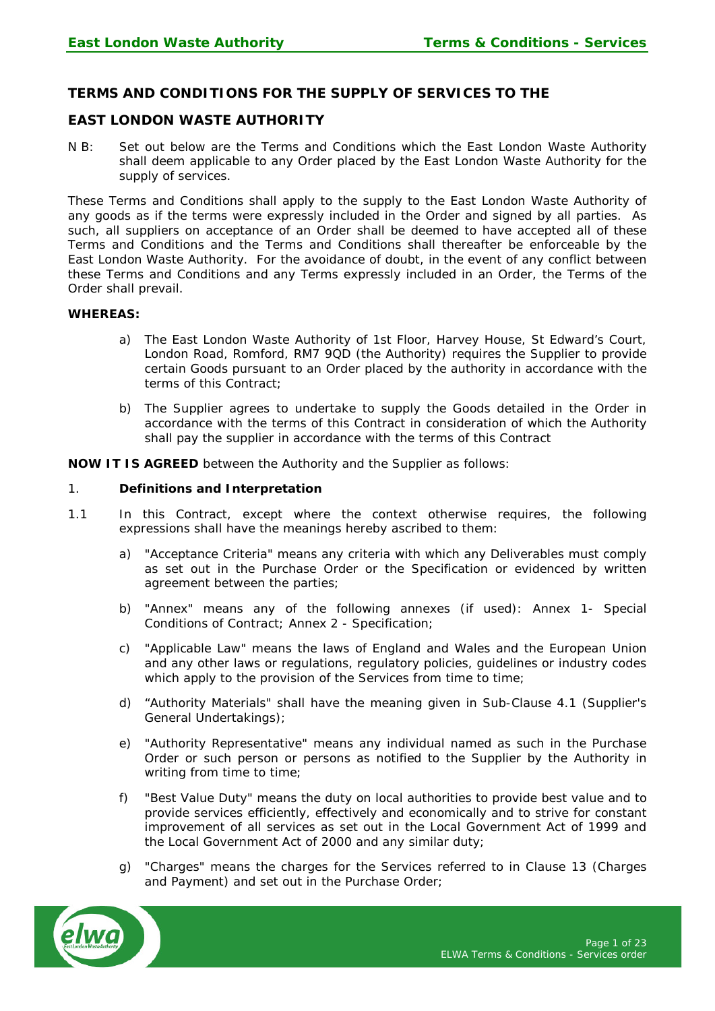# **TERMS AND CONDITIONS FOR THE SUPPLY OF SERVICES TO THE**

# **EAST LONDON WASTE AUTHORITY**

N B: Set out below are the Terms and Conditions which the East London Waste Authority shall deem applicable to any Order placed by the East London Waste Authority for the supply of services.

These Terms and Conditions shall apply to the supply to the East London Waste Authority of any goods as if the terms were expressly included in the Order and signed by all parties. As such, all suppliers on acceptance of an Order shall be deemed to have accepted all of these Terms and Conditions and the Terms and Conditions shall thereafter be enforceable by the East London Waste Authority. For the avoidance of doubt, in the event of any conflict between these Terms and Conditions and any Terms expressly included in an Order, the Terms of the Order shall prevail.

#### **WHEREAS:**

- a) The East London Waste Authority of 1st Floor, Harvey House, St Edward's Court, London Road, Romford, RM7 9QD (the Authority) requires the Supplier to provide certain Goods pursuant to an Order placed by the authority in accordance with the terms of this Contract;
- b) The Supplier agrees to undertake to supply the Goods detailed in the Order in accordance with the terms of this Contract in consideration of which the Authority shall pay the supplier in accordance with the terms of this Contract

**NOW IT IS AGREED** between the Authority and the Supplier as follows:

## 1. **Definitions and Interpretation**

- 1.1 In this Contract, except where the context otherwise requires, the following expressions shall have the meanings hereby ascribed to them:
	- a) "Acceptance Criteria" means any criteria with which any Deliverables must comply as set out in the Purchase Order or the Specification or evidenced by written agreement between the parties;
	- b) "Annex" means any of the following annexes (if used): Annex 1- Special Conditions of Contract; Annex 2 - Specification;
	- c) "Applicable Law" means the laws of England and Wales and the European Union and any other laws or regulations, regulatory policies, guidelines or industry codes which apply to the provision of the Services from time to time;
	- d) "Authority Materials" shall have the meaning given in Sub-Clause 4.1 (Supplier's General Undertakings);
	- e) "Authority Representative" means any individual named as such in the Purchase Order or such person or persons as notified to the Supplier by the Authority in writing from time to time;
	- f) "Best Value Duty" means the duty on local authorities to provide best value and to provide services efficiently, effectively and economically and to strive for constant improvement of all services as set out in the Local Government Act of 1999 and the Local Government Act of 2000 and any similar duty;
	- g) "Charges" means the charges for the Services referred to in Clause 13 (Charges and Payment) and set out in the Purchase Order;

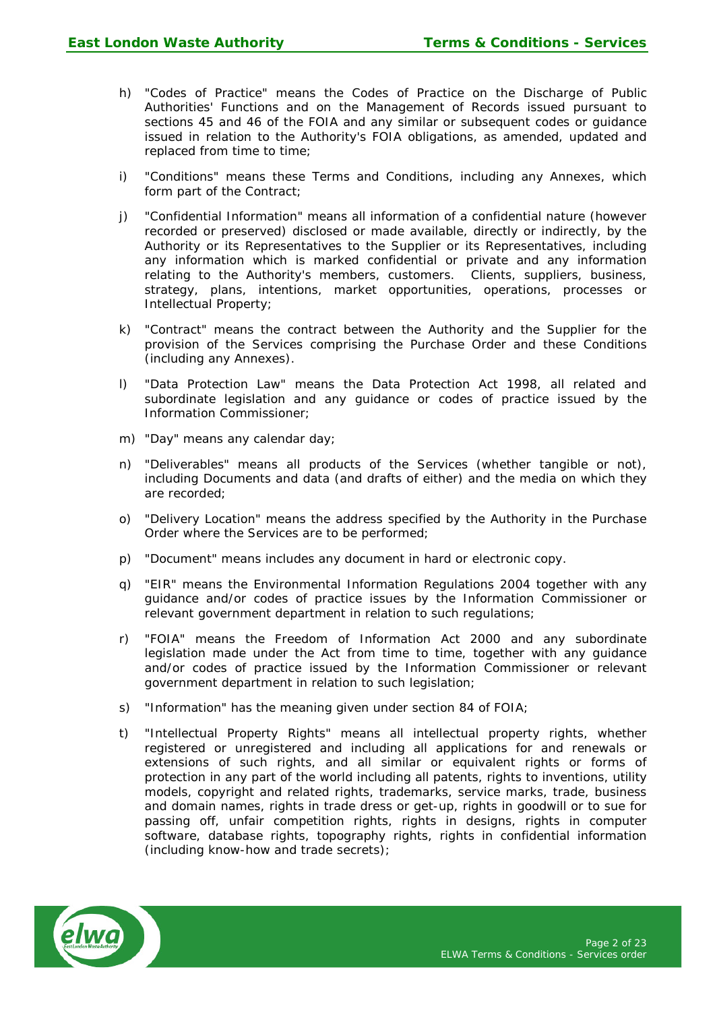- h) "Codes of Practice" means the Codes of Practice on the Discharge of Public Authorities' Functions and on the Management of Records issued pursuant to sections 45 and 46 of the FOIA and any similar or subsequent codes or guidance issued in relation to the Authority's FOIA obligations, as amended, updated and replaced from time to time;
- i) "Conditions" means these Terms and Conditions, including any Annexes, which form part of the Contract;
- j) "Confidential Information" means all information of a confidential nature (however recorded or preserved) disclosed or made available, directly or indirectly, by the Authority or its Representatives to the Supplier or its Representatives, including any information which is marked confidential or private and any information relating to the Authority's members, customers. Clients, suppliers, business, strategy, plans, intentions, market opportunities, operations, processes or Intellectual Property;
- k) "Contract" means the contract between the Authority and the Supplier for the provision of the Services comprising the Purchase Order and these Conditions (including any Annexes).
- l) "Data Protection Law" means the Data Protection Act 1998, all related and subordinate legislation and any guidance or codes of practice issued by the Information Commissioner;
- m) "Day" means any calendar day;
- n) "Deliverables" means all products of the Services (whether tangible or not), including Documents and data (and drafts of either) and the media on which they are recorded;
- o) "Delivery Location" means the address specified by the Authority in the Purchase Order where the Services are to be performed;
- p) "Document" means includes any document in hard or electronic copy.
- q) "EIR" means the Environmental Information Regulations 2004 together with any guidance and/or codes of practice issues by the Information Commissioner or relevant government department in relation to such regulations;
- r) "FOIA" means the Freedom of Information Act 2000 and any subordinate legislation made under the Act from time to time, together with any guidance and/or codes of practice issued by the Information Commissioner or relevant government department in relation to such legislation;
- s) "Information" has the meaning given under section 84 of FOIA;
- t) "Intellectual Property Rights" means all intellectual property rights, whether registered or unregistered and including all applications for and renewals or extensions of such rights, and all similar or equivalent rights or forms of protection in any part of the world including all patents, rights to inventions, utility models, copyright and related rights, trademarks, service marks, trade, business and domain names, rights in trade dress or get-up, rights in goodwill or to sue for passing off, unfair competition rights, rights in designs, rights in computer software, database rights, topography rights, rights in confidential information (including know-how and trade secrets);

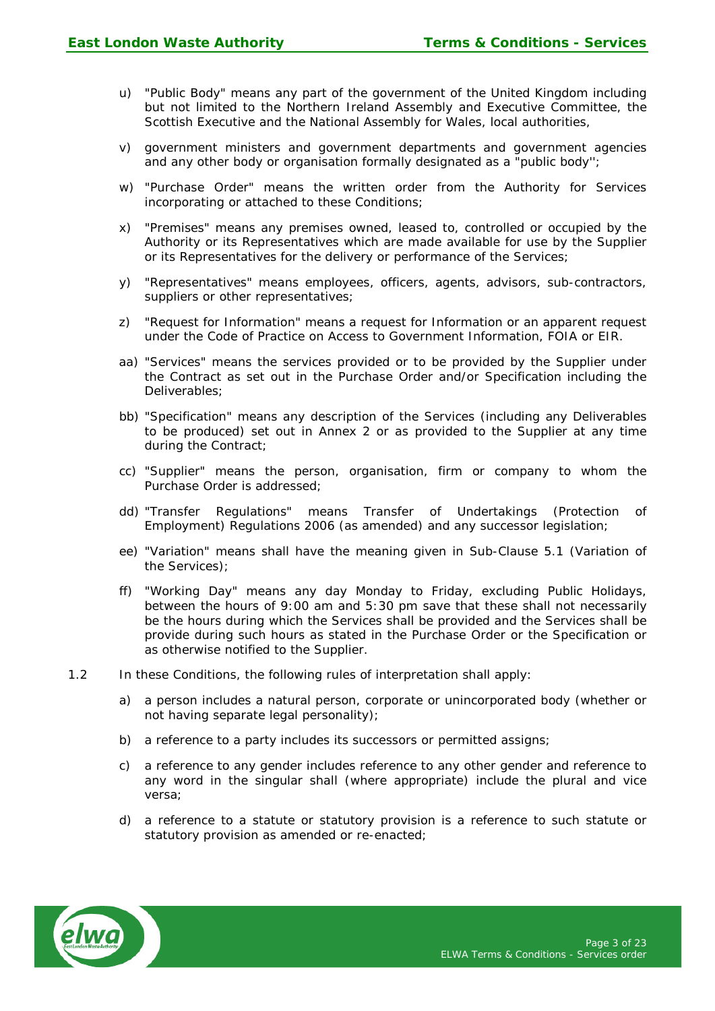- u) "Public Body" means any part of the government of the United Kingdom including but not limited to the Northern Ireland Assembly and Executive Committee, the Scottish Executive and the National Assembly for Wales, local authorities,
- v) government ministers and government departments and government agencies and any other body or organisation formally designated as a "public body'';
- w) "Purchase Order" means the written order from the Authority for Services incorporating or attached to these Conditions;
- x) "Premises" means any premises owned, leased to, controlled or occupied by the Authority or its Representatives which are made available for use by the Supplier or its Representatives for the delivery or performance of the Services;
- y) "Representatives" means employees, officers, agents, advisors, sub-contractors, suppliers or other representatives;
- z) "Request for Information" means a request for Information or an apparent request under the Code of Practice on Access to Government Information, FOIA or EIR.
- aa) "Services" means the services provided or to be provided by the Supplier under the Contract as set out in the Purchase Order and/or Specification including the Deliverables;
- bb) "Specification" means any description of the Services (including any Deliverables to be produced) set out in Annex 2 or as provided to the Supplier at any time during the Contract;
- cc) "Supplier" means the person, organisation, firm or company to whom the Purchase Order is addressed;
- dd) "Transfer Regulations" means Transfer of Undertakings (Protection of Employment) Regulations 2006 (as amended) and any successor legislation;
- ee) "Variation" means shall have the meaning given in Sub-Clause 5.1 (Variation of the Services);
- ff) "Working Day" means any day Monday to Friday, excluding Public Holidays, between the hours of 9:00 am and 5:30 pm save that these shall not necessarily be the hours during which the Services shall be provided and the Services shall be provide during such hours as stated in the Purchase Order or the Specification or as otherwise notified to the Supplier.
- 1.2 In these Conditions, the following rules of interpretation shall apply:
	- a) a person includes a natural person, corporate or unincorporated body (whether or not having separate legal personality);
	- b) a reference to a party includes its successors or permitted assigns;
	- c) a reference to any gender includes reference to any other gender and reference to any word in the singular shall (where appropriate) include the plural and vice versa;
	- d) a reference to a statute or statutory provision is a reference to such statute or statutory provision as amended or re-enacted;

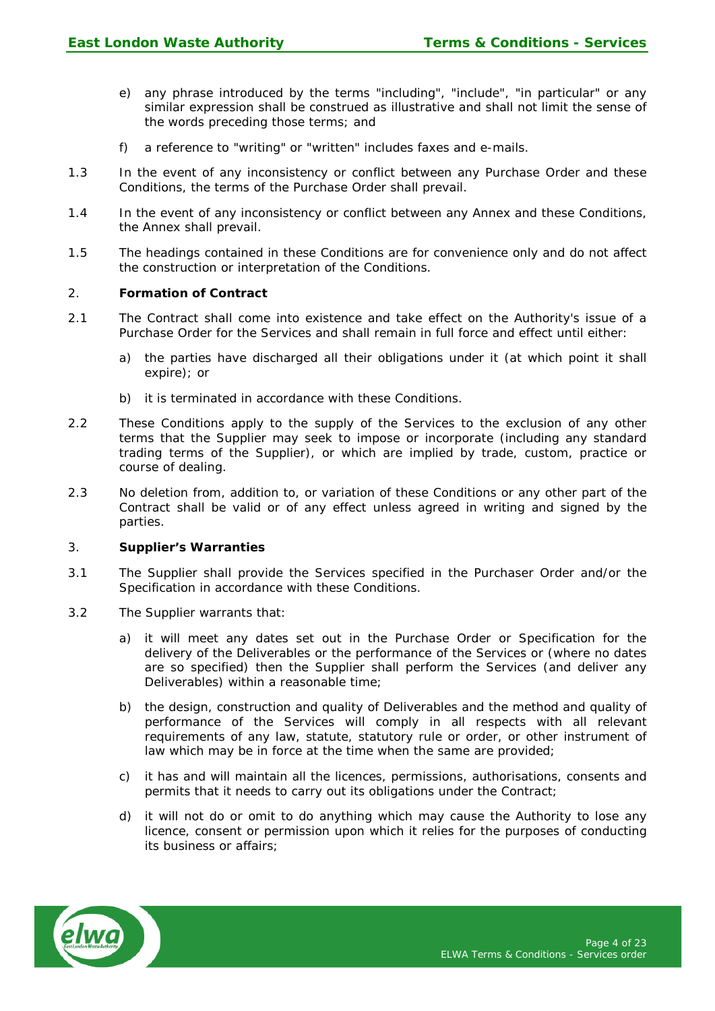- e) any phrase introduced by the terms "including", "include", "in particular" or any similar expression shall be construed as illustrative and shall not limit the sense of the words preceding those terms; and
- f) a reference to "writing" or "written" includes faxes and e-mails.
- 1.3 In the event of any inconsistency or conflict between any Purchase Order and these Conditions, the terms of the Purchase Order shall prevail.
- 1.4 In the event of any inconsistency or conflict between any Annex and these Conditions, the Annex shall prevail.
- 1.5 The headings contained in these Conditions are for convenience only and do not affect the construction or interpretation of the Conditions.

#### 2. **Formation of Contract**

- 2.1 The Contract shall come into existence and take effect on the Authority's issue of a Purchase Order for the Services and shall remain in full force and effect until either:
	- a) the parties have discharged all their obligations under it (at which point it shall expire); or
	- b) it is terminated in accordance with these Conditions.
- 2.2 These Conditions apply to the supply of the Services to the exclusion of any other terms that the Supplier may seek to impose or incorporate (including any standard trading terms of the Supplier), or which are implied by trade, custom, practice or course of dealing.
- 2.3 No deletion from, addition to, or variation of these Conditions or any other part of the Contract shall be valid or of any effect unless agreed in writing and signed by the parties.

## 3. **Supplier's Warranties**

- 3.1 The Supplier shall provide the Services specified in the Purchaser Order and/or the Specification in accordance with these Conditions.
- 3.2 The Supplier warrants that:
	- a) it will meet any dates set out in the Purchase Order or Specification for the delivery of the Deliverables or the performance of the Services or (where no dates are so specified) then the Supplier shall perform the Services (and deliver any Deliverables) within a reasonable time;
	- b) the design, construction and quality of Deliverables and the method and quality of performance of the Services will comply in all respects with all relevant requirements of any law, statute, statutory rule or order, or other instrument of law which may be in force at the time when the same are provided;
	- c) it has and will maintain all the licences, permissions, authorisations, consents and permits that it needs to carry out its obligations under the Contract;
	- d) it will not do or omit to do anything which may cause the Authority to lose any licence, consent or permission upon which it relies for the purposes of conducting its business or affairs;

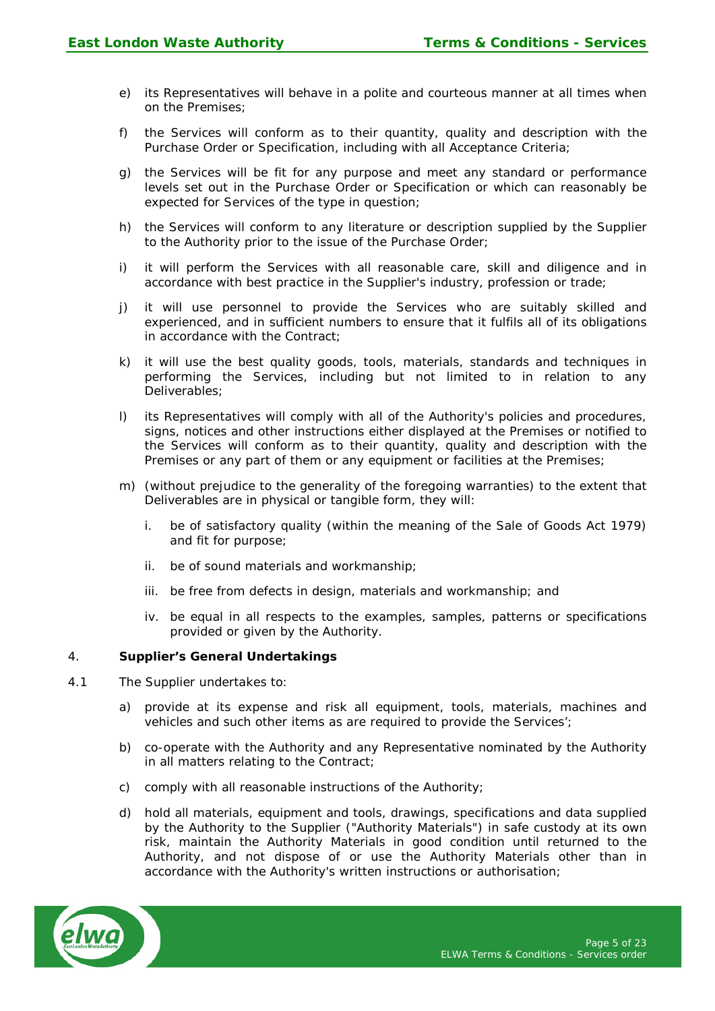- e) its Representatives will behave in a polite and courteous manner at all times when on the Premises;
- f) the Services will conform as to their quantity, quality and description with the Purchase Order or Specification, including with all Acceptance Criteria;
- g) the Services will be fit for any purpose and meet any standard or performance levels set out in the Purchase Order or Specification or which can reasonably be expected for Services of the type in question;
- h) the Services will conform to any literature or description supplied by the Supplier to the Authority prior to the issue of the Purchase Order;
- i) it will perform the Services with all reasonable care, skill and diligence and in accordance with best practice in the Supplier's industry, profession or trade;
- j) it will use personnel to provide the Services who are suitably skilled and experienced, and in sufficient numbers to ensure that it fulfils all of its obligations in accordance with the Contract;
- k) it will use the best quality goods, tools, materials, standards and techniques in performing the Services, including but not limited to in relation to any Deliverables;
- l) its Representatives will comply with all of the Authority's policies and procedures, signs, notices and other instructions either displayed at the Premises or notified to the Services will conform as to their quantity, quality and description with the Premises or any part of them or any equipment or facilities at the Premises;
- m) (without prejudice to the generality of the foregoing warranties) to the extent that Deliverables are in physical or tangible form, they will:
	- i. be of satisfactory quality (within the meaning of the Sale of Goods Act 1979) and fit for purpose;
	- ii. be of sound materials and workmanship;
	- iii. be free from defects in design, materials and workmanship; and
	- iv. be equal in all respects to the examples, samples, patterns or specifications provided or given by the Authority.

# 4. **Supplier's General Undertakings**

- 4.1 The Supplier undertakes to:
	- a) provide at its expense and risk all equipment, tools, materials, machines and vehicles and such other items as are required to provide the Services';
	- b) co-operate with the Authority and any Representative nominated by the Authority in all matters relating to the Contract;
	- c) comply with all reasonable instructions of the Authority;
	- d) hold all materials, equipment and tools, drawings, specifications and data supplied by the Authority to the Supplier ("Authority Materials") in safe custody at its own risk, maintain the Authority Materials in good condition until returned to the Authority, and not dispose of or use the Authority Materials other than in accordance with the Authority's written instructions or authorisation;

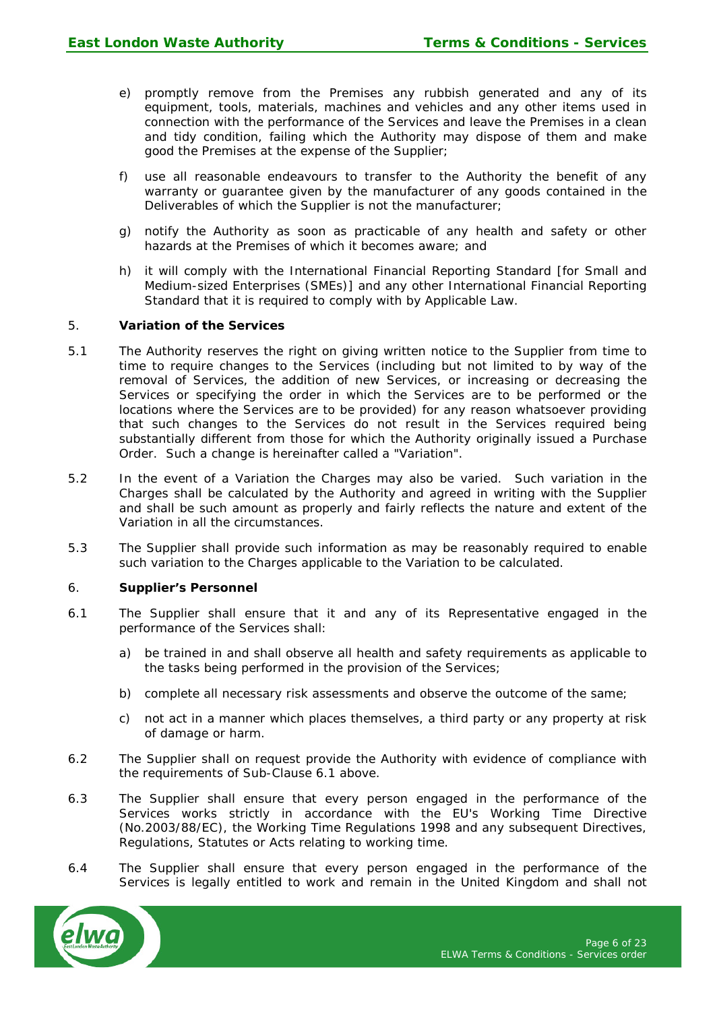- e) promptly remove from the Premises any rubbish generated and any of its equipment, tools, materials, machines and vehicles and any other items used in connection with the performance of the Services and leave the Premises in a clean and tidy condition, failing which the Authority may dispose of them and make good the Premises at the expense of the Supplier;
- f) use all reasonable endeavours to transfer to the Authority the benefit of any warranty or guarantee given by the manufacturer of any goods contained in the Deliverables of which the Supplier is not the manufacturer;
- g) notify the Authority as soon as practicable of any health and safety or other hazards at the Premises of which it becomes aware; and
- h) it will comply with the International Financial Reporting Standard [for Small and Medium-sized Enterprises (SMEs)] and any other International Financial Reporting Standard that it is required to comply with by Applicable Law.

# 5. **Variation of the Services**

- 5.1 The Authority reserves the right on giving written notice to the Supplier from time to time to require changes to the Services (including but not limited to by way of the removal of Services, the addition of new Services, or increasing or decreasing the Services or specifying the order in which the Services are to be performed or the locations where the Services are to be provided) for any reason whatsoever providing that such changes to the Services do not result in the Services required being substantially different from those for which the Authority originally issued a Purchase Order. Such a change is hereinafter called a "Variation".
- 5.2 In the event of a Variation the Charges may also be varied. Such variation in the Charges shall be calculated by the Authority and agreed in writing with the Supplier and shall be such amount as properly and fairly reflects the nature and extent of the Variation in all the circumstances.
- 5.3 The Supplier shall provide such information as may be reasonably required to enable such variation to the Charges applicable to the Variation to be calculated.

#### 6. **Supplier's Personnel**

- 6.1 The Supplier shall ensure that it and any of its Representative engaged in the performance of the Services shall:
	- a) be trained in and shall observe all health and safety requirements as applicable to the tasks being performed in the provision of the Services;
	- b) complete all necessary risk assessments and observe the outcome of the same;
	- c) not act in a manner which places themselves, a third party or any property at risk of damage or harm.
- 6.2 The Supplier shall on request provide the Authority with evidence of compliance with the requirements of Sub-Clause 6.1 above.
- 6.3 The Supplier shall ensure that every person engaged in the performance of the Services works strictly in accordance with the EU's Working Time Directive (No.2003/88/EC), the Working Time Regulations 1998 and any subsequent Directives, Regulations, Statutes or Acts relating to working time.
- 6.4 The Supplier shall ensure that every person engaged in the performance of the Services is legally entitled to work and remain in the United Kingdom and shall not

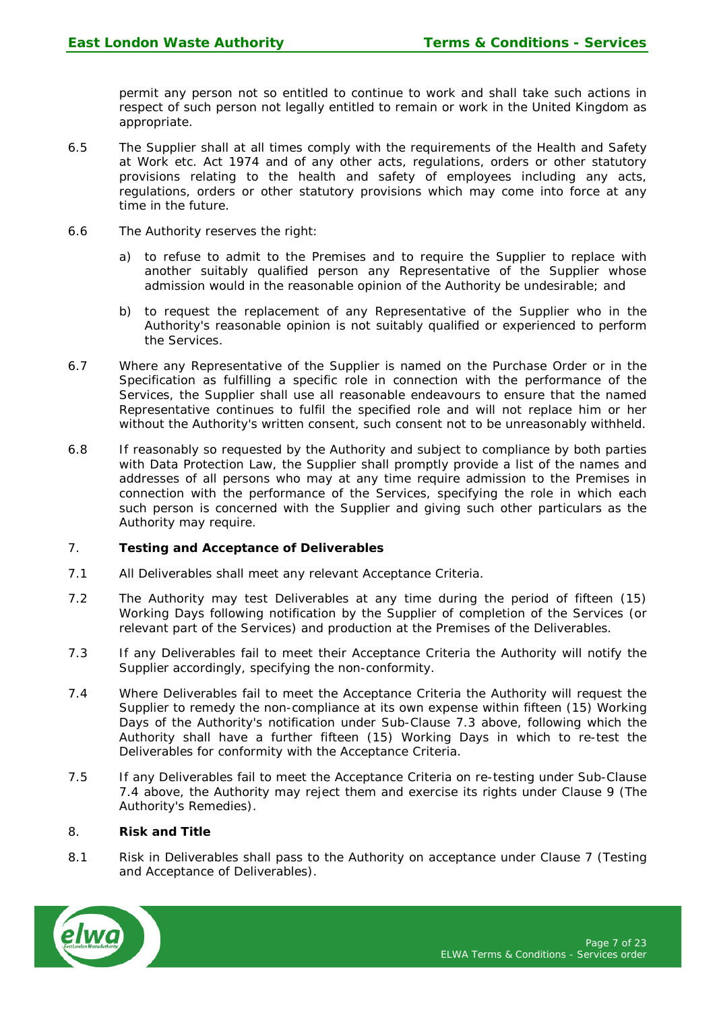permit any person not so entitled to continue to work and shall take such actions in respect of such person not legally entitled to remain or work in the United Kingdom as appropriate.

- 6.5 The Supplier shall at all times comply with the requirements of the Health and Safety at Work etc. Act 1974 and of any other acts, regulations, orders or other statutory provisions relating to the health and safety of employees including any acts, regulations, orders or other statutory provisions which may come into force at any time in the future.
- 6.6 The Authority reserves the right:
	- a) to refuse to admit to the Premises and to require the Supplier to replace with another suitably qualified person any Representative of the Supplier whose admission would in the reasonable opinion of the Authority be undesirable; and
	- b) to request the replacement of any Representative of the Supplier who in the Authority's reasonable opinion is not suitably qualified or experienced to perform the Services.
- 6.7 Where any Representative of the Supplier is named on the Purchase Order or in the Specification as fulfilling a specific role in connection with the performance of the Services, the Supplier shall use all reasonable endeavours to ensure that the named Representative continues to fulfil the specified role and will not replace him or her without the Authority's written consent, such consent not to be unreasonably withheld.
- 6.8 If reasonably so requested by the Authority and subject to compliance by both parties with Data Protection Law, the Supplier shall promptly provide a list of the names and addresses of all persons who may at any time require admission to the Premises in connection with the performance of the Services, specifying the role in which each such person is concerned with the Supplier and giving such other particulars as the Authority may require.

# 7. **Testing and Acceptance of Deliverables**

- 7.1 All Deliverables shall meet any relevant Acceptance Criteria.
- 7.2 The Authority may test Deliverables at any time during the period of fifteen (15) Working Days following notification by the Supplier of completion of the Services (or relevant part of the Services) and production at the Premises of the Deliverables.
- 7.3 If any Deliverables fail to meet their Acceptance Criteria the Authority will notify the Supplier accordingly, specifying the non-conformity.
- 7.4 Where Deliverables fail to meet the Acceptance Criteria the Authority will request the Supplier to remedy the non-compliance at its own expense within fifteen (15) Working Days of the Authority's notification under Sub-Clause 7.3 above, following which the Authority shall have a further fifteen (15) Working Days in which to re-test the Deliverables for conformity with the Acceptance Criteria.
- 7.5 If any Deliverables fail to meet the Acceptance Criteria on re-testing under Sub-Clause 7.4 above, the Authority may reject them and exercise its rights under Clause 9 (The Authority's Remedies).

#### 8. **Risk and Title**

8.1 Risk in Deliverables shall pass to the Authority on acceptance under Clause 7 (Testing and Acceptance of Deliverables).

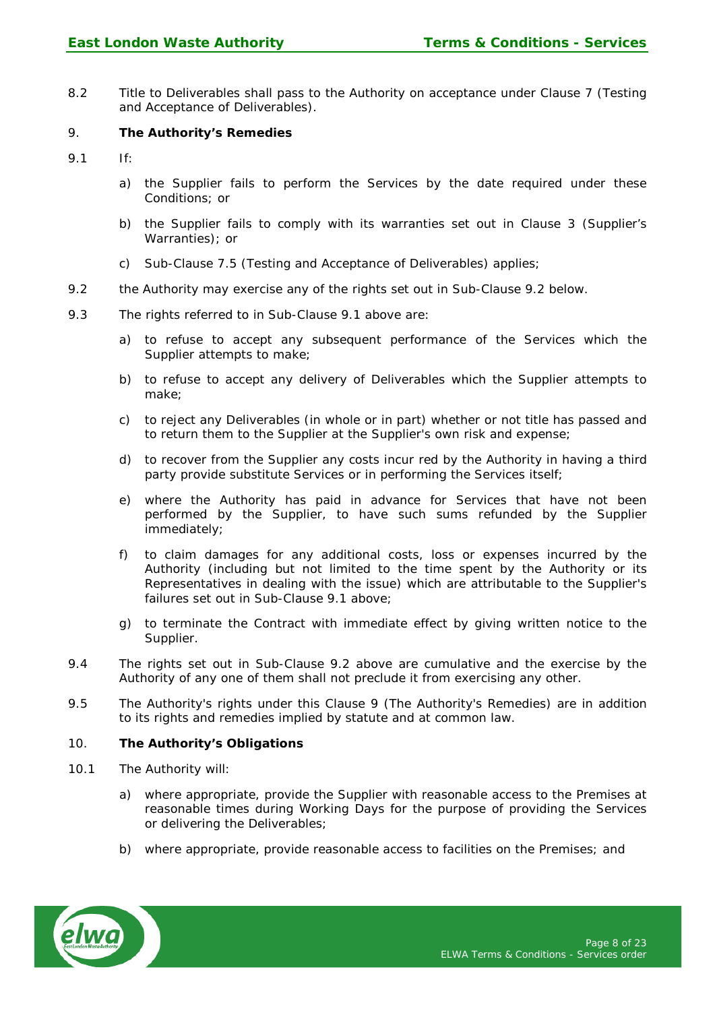8.2 Title to Deliverables shall pass to the Authority on acceptance under Clause 7 (Testing and Acceptance of Deliverables).

## 9. **The Authority's Remedies**

- 9.1 If:
	- a) the Supplier fails to perform the Services by the date required under these Conditions; or
	- b) the Supplier fails to comply with its warranties set out in Clause 3 (Supplier's Warranties); or
	- c) Sub-Clause 7.5 (Testing and Acceptance of Deliverables) applies;
- 9.2 the Authority may exercise any of the rights set out in Sub-Clause 9.2 below.
- 9.3 The rights referred to in Sub-Clause 9.1 above are:
	- a) to refuse to accept any subsequent performance of the Services which the Supplier attempts to make;
	- b) to refuse to accept any delivery of Deliverables which the Supplier attempts to make;
	- c) to reject any Deliverables (in whole or in part) whether or not title has passed and to return them to the Supplier at the Supplier's own risk and expense;
	- d) to recover from the Supplier any costs incur red by the Authority in having a third party provide substitute Services or in performing the Services itself;
	- e) where the Authority has paid in advance for Services that have not been performed by the Supplier, to have such sums refunded by the Supplier immediately;
	- f) to claim damages for any additional costs, loss or expenses incurred by the Authority (including but not limited to the time spent by the Authority or its Representatives in dealing with the issue) which are attributable to the Supplier's failures set out in Sub-Clause 9.1 above;
	- g) to terminate the Contract with immediate effect by giving written notice to the Supplier.
- 9.4 The rights set out in Sub-Clause 9.2 above are cumulative and the exercise by the Authority of any one of them shall not preclude it from exercising any other.
- 9.5 The Authority's rights under this Clause 9 (The Authority's Remedies) are in addition to its rights and remedies implied by statute and at common law.

# 10. **The Authority's Obligations**

- 10.1 The Authority will:
	- a) where appropriate, provide the Supplier with reasonable access to the Premises at reasonable times during Working Days for the purpose of providing the Services or delivering the Deliverables;
	- b) where appropriate, provide reasonable access to facilities on the Premises; and

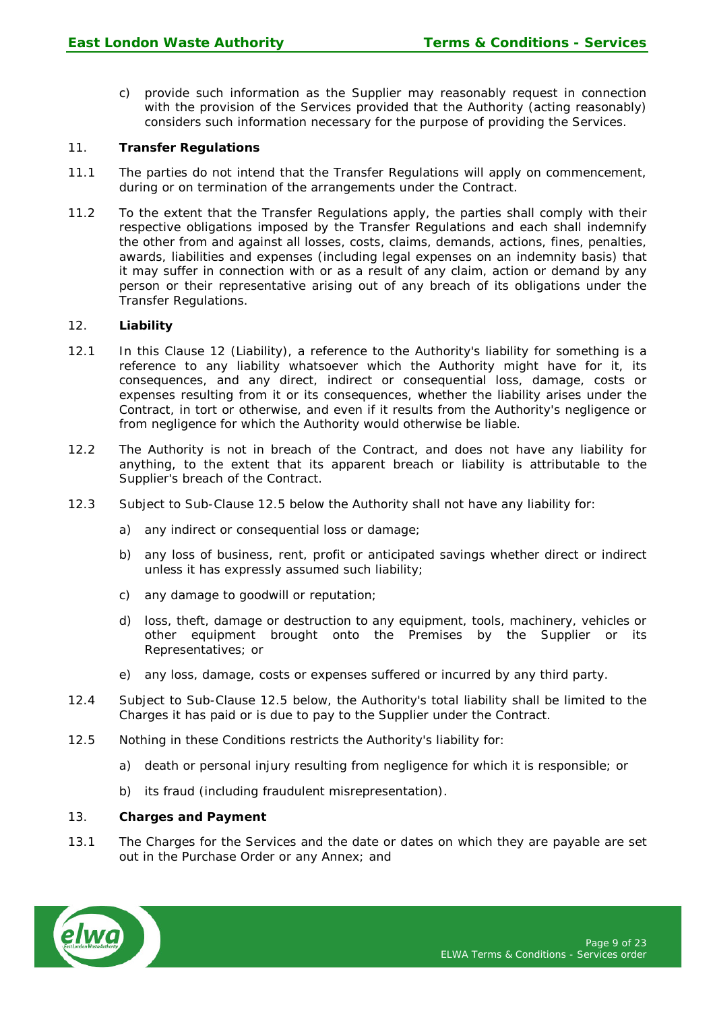c) provide such information as the Supplier may reasonably request in connection with the provision of the Services provided that the Authority (acting reasonably) considers such information necessary for the purpose of providing the Services.

## 11. **Transfer Regulations**

- 11.1 The parties do not intend that the Transfer Regulations will apply on commencement, during or on termination of the arrangements under the Contract.
- 11.2 To the extent that the Transfer Regulations apply, the parties shall comply with their respective obligations imposed by the Transfer Regulations and each shall indemnify the other from and against all losses, costs, claims, demands, actions, fines, penalties, awards, liabilities and expenses (including legal expenses on an indemnity basis) that it may suffer in connection with or as a result of any claim, action or demand by any person or their representative arising out of any breach of its obligations under the Transfer Regulations.

## 12. **Liability**

- 12.1 In this Clause 12 (Liability), a reference to the Authority's liability for something is a reference to any liability whatsoever which the Authority might have for it, its consequences, and any direct, indirect or consequential loss, damage, costs or expenses resulting from it or its consequences, whether the liability arises under the Contract, in tort or otherwise, and even if it results from the Authority's negligence or from negligence for which the Authority would otherwise be liable.
- 12.2 The Authority is not in breach of the Contract, and does not have any liability for anything, to the extent that its apparent breach or liability is attributable to the Supplier's breach of the Contract.
- 12.3 Subject to Sub-Clause 12.5 below the Authority shall not have any liability for:
	- a) any indirect or consequential loss or damage;
	- b) any loss of business, rent, profit or anticipated savings whether direct or indirect unless it has expressly assumed such liability;
	- c) any damage to goodwill or reputation;
	- d) loss, theft, damage or destruction to any equipment, tools, machinery, vehicles or other equipment brought onto the Premises by the Supplier or its Representatives; or
	- e) any loss, damage, costs or expenses suffered or incurred by any third party.
- 12.4 Subject to Sub-Clause 12.5 below, the Authority's total liability shall be limited to the Charges it has paid or is due to pay to the Supplier under the Contract.
- 12.5 Nothing in these Conditions restricts the Authority's liability for:
	- a) death or personal injury resulting from negligence for which it is responsible; or
	- b) its fraud (including fraudulent misrepresentation).

#### 13. **Charges and Payment**

13.1 The Charges for the Services and the date or dates on which they are payable are set out in the Purchase Order or any Annex; and

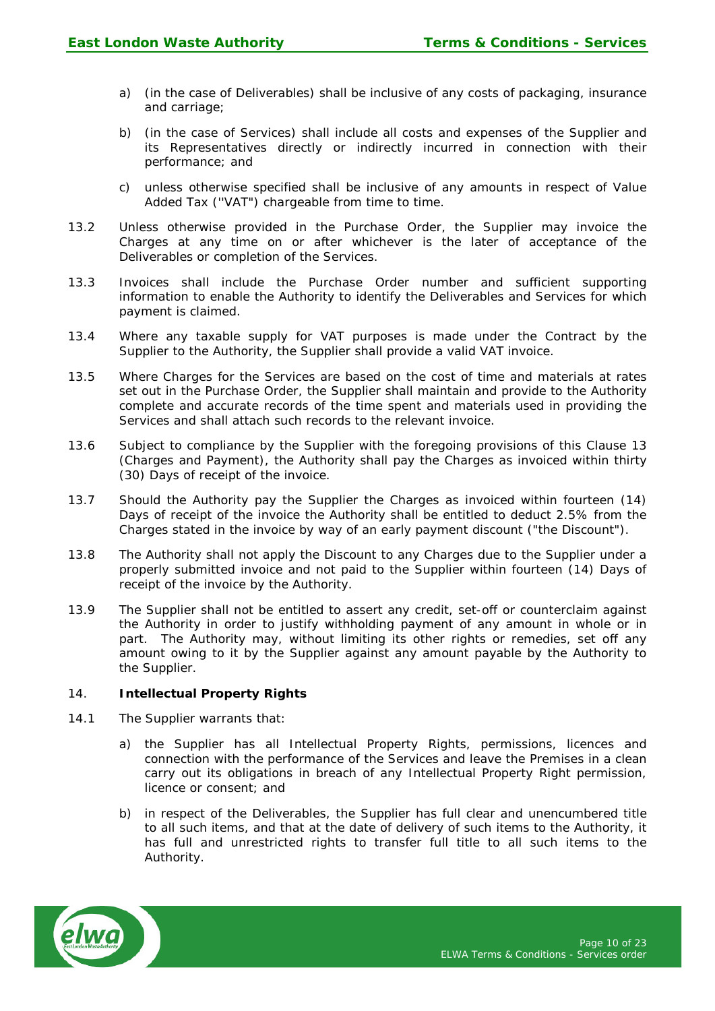- a) (in the case of Deliverables) shall be inclusive of any costs of packaging, insurance and carriage;
- b) (in the case of Services) shall include all costs and expenses of the Supplier and its Representatives directly or indirectly incurred in connection with their performance; and
- c) unless otherwise specified shall be inclusive of any amounts in respect of Value Added Tax (''VAT") chargeable from time to time.
- 13.2 Unless otherwise provided in the Purchase Order, the Supplier may invoice the Charges at any time on or after whichever is the later of acceptance of the Deliverables or completion of the Services.
- 13.3 Invoices shall include the Purchase Order number and sufficient supporting information to enable the Authority to identify the Deliverables and Services for which payment is claimed.
- 13.4 Where any taxable supply for VAT purposes is made under the Contract by the Supplier to the Authority, the Supplier shall provide a valid VAT invoice.
- 13.5 Where Charges for the Services are based on the cost of time and materials at rates set out in the Purchase Order, the Supplier shall maintain and provide to the Authority complete and accurate records of the time spent and materials used in providing the Services and shall attach such records to the relevant invoice.
- 13.6 Subject to compliance by the Supplier with the foregoing provisions of this Clause 13 (Charges and Payment), the Authority shall pay the Charges as invoiced within thirty (30) Days of receipt of the invoice.
- 13.7 Should the Authority pay the Supplier the Charges as invoiced within fourteen (14) Days of receipt of the invoice the Authority shall be entitled to deduct 2.5% from the Charges stated in the invoice by way of an early payment discount ("the Discount").
- 13.8 The Authority shall not apply the Discount to any Charges due to the Supplier under a properly submitted invoice and not paid to the Supplier within fourteen (14) Days of receipt of the invoice by the Authority.
- 13.9 The Supplier shall not be entitled to assert any credit, set-off or counterclaim against the Authority in order to justify withholding payment of any amount in whole or in part. The Authority may, without limiting its other rights or remedies, set off any amount owing to it by the Supplier against any amount payable by the Authority to the Supplier.

# 14. **Intellectual Property Rights**

- 14.1 The Supplier warrants that:
	- a) the Supplier has all Intellectual Property Rights, permissions, licences and connection with the performance of the Services and leave the Premises in a clean carry out its obligations in breach of any Intellectual Property Right permission, licence or consent; and
	- b) in respect of the Deliverables, the Supplier has full clear and unencumbered title to all such items, and that at the date of delivery of such items to the Authority, it has full and unrestricted rights to transfer full title to all such items to the Authority.

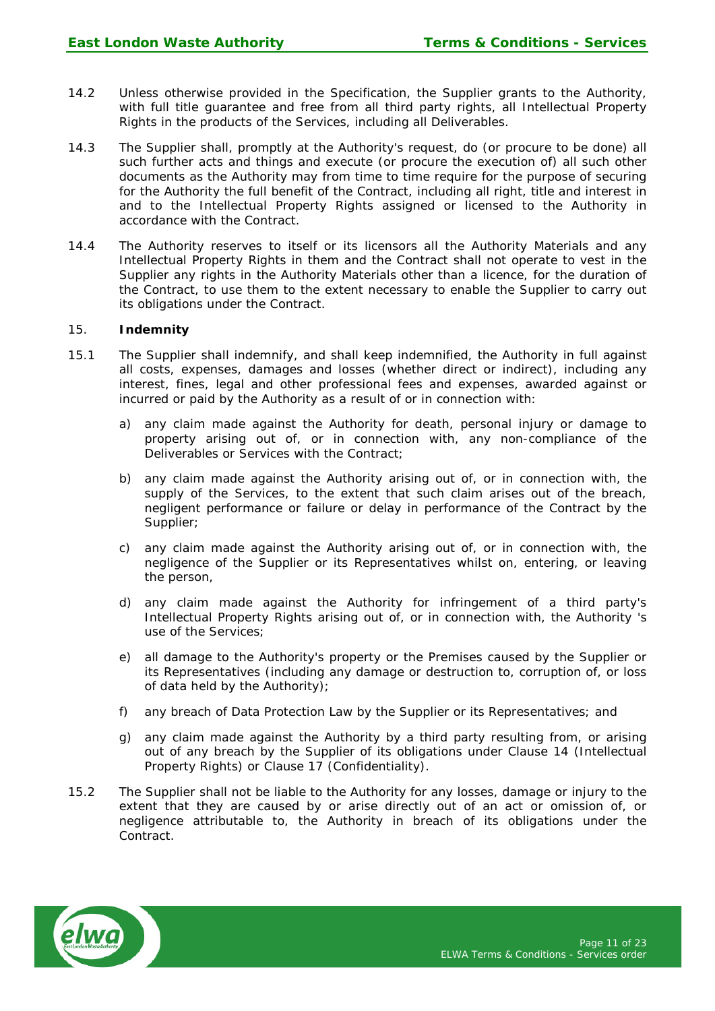- 14.2 Unless otherwise provided in the Specification, the Supplier grants to the Authority, with full title guarantee and free from all third party rights, all Intellectual Property Rights in the products of the Services, including all Deliverables.
- 14.3 The Supplier shall, promptly at the Authority's request, do (or procure to be done) all such further acts and things and execute (or procure the execution of) all such other documents as the Authority may from time to time require for the purpose of securing for the Authority the full benefit of the Contract, including all right, title and interest in and to the Intellectual Property Rights assigned or licensed to the Authority in accordance with the Contract.
- 14.4 The Authority reserves to itself or its licensors all the Authority Materials and any Intellectual Property Rights in them and the Contract shall not operate to vest in the Supplier any rights in the Authority Materials other than a licence, for the duration of the Contract, to use them to the extent necessary to enable the Supplier to carry out its obligations under the Contract.

## 15. **Indemnity**

- 15.1 The Supplier shall indemnify, and shall keep indemnified, the Authority in full against all costs, expenses, damages and losses (whether direct or indirect), including any interest, fines, legal and other professional fees and expenses, awarded against or incurred or paid by the Authority as a result of or in connection with:
	- a) any claim made against the Authority for death, personal injury or damage to property arising out of, or in connection with, any non-compliance of the Deliverables or Services with the Contract;
	- b) any claim made against the Authority arising out of, or in connection with, the supply of the Services, to the extent that such claim arises out of the breach, negligent performance or failure or delay in performance of the Contract by the Supplier;
	- c) any claim made against the Authority arising out of, or in connection with, the negligence of the Supplier or its Representatives whilst on, entering, or leaving the person,
	- d) any claim made against the Authority for infringement of a third party's Intellectual Property Rights arising out of, or in connection with, the Authority 's use of the Services;
	- e) all damage to the Authority's property or the Premises caused by the Supplier or its Representatives (including any damage or destruction to, corruption of, or loss of data held by the Authority);
	- f) any breach of Data Protection Law by the Supplier or its Representatives; and
	- g) any claim made against the Authority by a third party resulting from, or arising out of any breach by the Supplier of its obligations under Clause 14 (Intellectual Property Rights) or Clause 17 (Confidentiality).
- 15.2 The Supplier shall not be liable to the Authority for any losses, damage or injury to the extent that they are caused by or arise directly out of an act or omission of, or negligence attributable to, the Authority in breach of its obligations under the Contract.

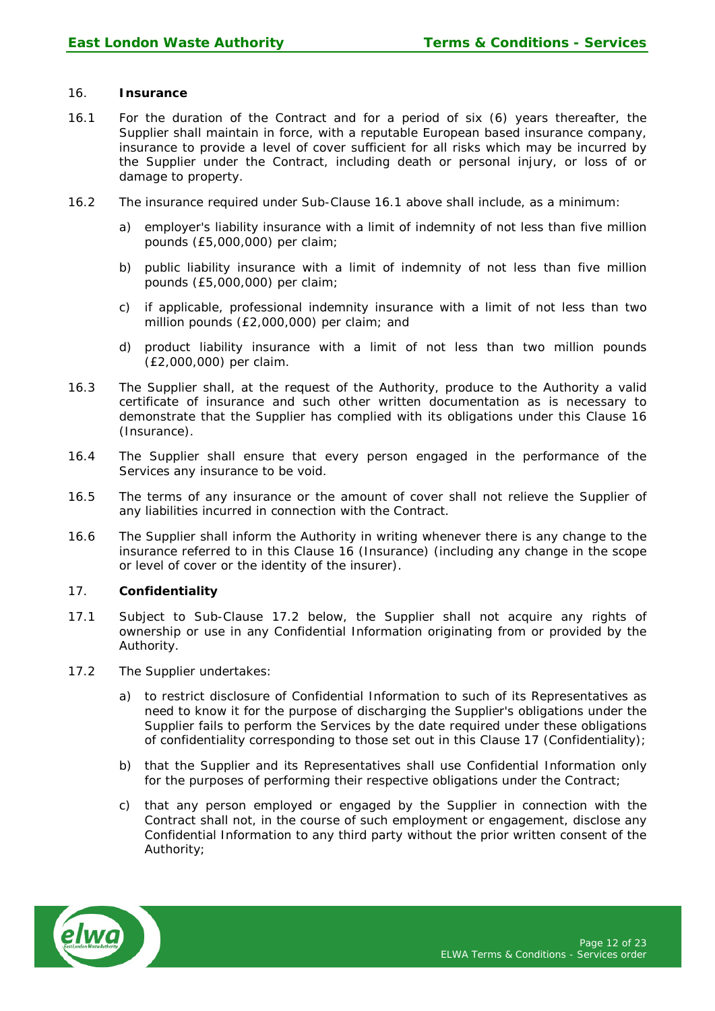# 16. **Insurance**

- 16.1 For the duration of the Contract and for a period of six (6) years thereafter, the Supplier shall maintain in force, with a reputable European based insurance company, insurance to provide a level of cover sufficient for all risks which may be incurred by the Supplier under the Contract, including death or personal injury, or loss of or damage to property.
- 16.2 The insurance required under Sub-Clause 16.1 above shall include, as a minimum:
	- a) employer's liability insurance with a limit of indemnity of not less than five million pounds (£5,000,000) per claim;
	- b) public liability insurance with a limit of indemnity of not less than five million pounds (£5,000,000) per claim;
	- c) if applicable, professional indemnity insurance with a limit of not less than two million pounds (£2,000,000) per claim; and
	- d) product liability insurance with a limit of not less than two million pounds (£2,000,000) per claim.
- 16.3 The Supplier shall, at the request of the Authority, produce to the Authority a valid certificate of insurance and such other written documentation as is necessary to demonstrate that the Supplier has complied with its obligations under this Clause 16 (Insurance).
- 16.4 The Supplier shall ensure that every person engaged in the performance of the Services any insurance to be void.
- 16.5 The terms of any insurance or the amount of cover shall not relieve the Supplier of any liabilities incurred in connection with the Contract.
- 16.6 The Supplier shall inform the Authority in writing whenever there is any change to the insurance referred to in this Clause 16 (Insurance) (including any change in the scope or level of cover or the identity of the insurer).

#### 17. **Confidentiality**

- 17.1 Subject to Sub-Clause 17.2 below, the Supplier shall not acquire any rights of ownership or use in any Confidential Information originating from or provided by the Authority.
- 17.2 The Supplier undertakes:
	- a) to restrict disclosure of Confidential Information to such of its Representatives as need to know it for the purpose of discharging the Supplier's obligations under the Supplier fails to perform the Services by the date required under these obligations of confidentiality corresponding to those set out in this Clause 17 (Confidentiality);
	- b) that the Supplier and its Representatives shall use Confidential Information only for the purposes of performing their respective obligations under the Contract;
	- c) that any person employed or engaged by the Supplier in connection with the Contract shall not, in the course of such employment or engagement, disclose any Confidential Information to any third party without the prior written consent of the Authority;

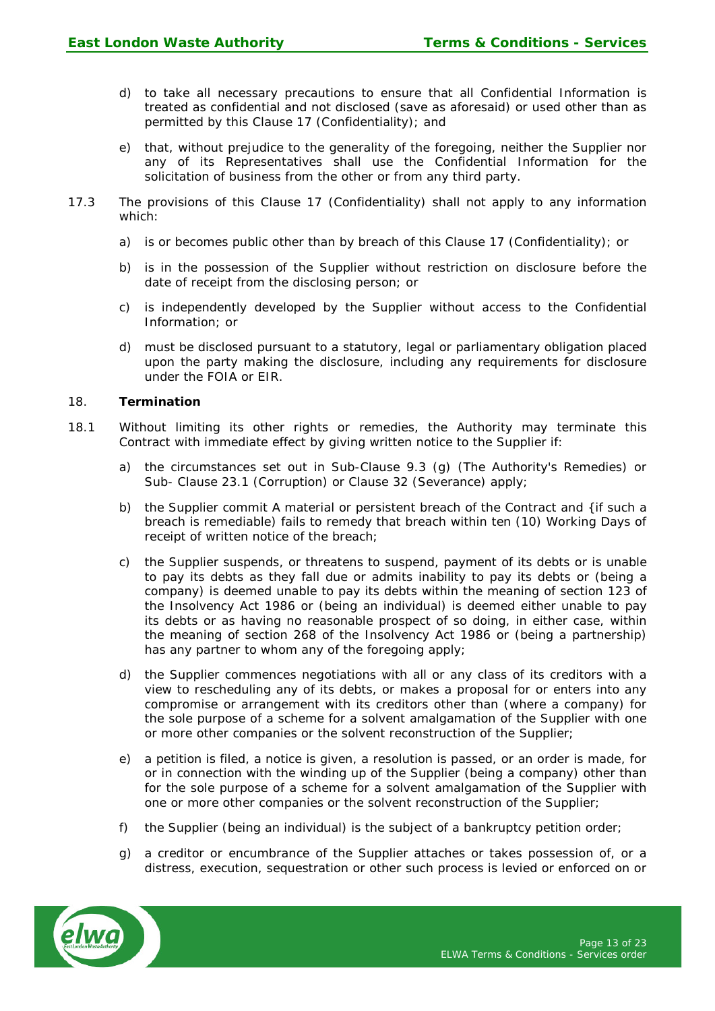- d) to take all necessary precautions to ensure that all Confidential Information is treated as confidential and not disclosed (save as aforesaid) or used other than as permitted by this Clause 17 (Confidentiality); and
- e) that, without prejudice to the generality of the foregoing, neither the Supplier nor any of its Representatives shall use the Confidential Information for the solicitation of business from the other or from any third party.
- 17.3 The provisions of this Clause 17 (Confidentiality) shall not apply to any information which:
	- a) is or becomes public other than by breach of this Clause 17 (Confidentiality); or
	- b) is in the possession of the Supplier without restriction on disclosure before the date of receipt from the disclosing person; or
	- c) is independently developed by the Supplier without access to the Confidential Information; or
	- d) must be disclosed pursuant to a statutory, legal or parliamentary obligation placed upon the party making the disclosure, including any requirements for disclosure under the FOIA or EIR.

## 18. **Termination**

- 18.1 Without limiting its other rights or remedies, the Authority may terminate this Contract with immediate effect by giving written notice to the Supplier if:
	- a) the circumstances set out in Sub-Clause 9.3 (g) (The Authority's Remedies) or Sub- Clause 23.1 (Corruption) or Clause 32 (Severance) apply;
	- b) the Supplier commit A material or persistent breach of the Contract and {if such a breach is remediable) fails to remedy that breach within ten (10) Working Days of receipt of written notice of the breach;
	- the Supplier suspends, or threatens to suspend, payment of its debts or is unable to pay its debts as they fall due or admits inability to pay its debts or (being a company) is deemed unable to pay its debts within the meaning of section 123 of the Insolvency Act 1986 or (being an individual) is deemed either unable to pay its debts or as having no reasonable prospect of so doing, in either case, within the meaning of section 268 of the Insolvency Act 1986 or (being a partnership) has any partner to whom any of the foregoing apply;
	- d) the Supplier commences negotiations with all or any class of its creditors with a view to rescheduling any of its debts, or makes a proposal for or enters into any compromise or arrangement with its creditors other than (where a company) for the sole purpose of a scheme for a solvent amalgamation of the Supplier with one or more other companies or the solvent reconstruction of the Supplier;
	- e) a petition is filed, a notice is given, a resolution is passed, or an order is made, for or in connection with the winding up of the Supplier (being a company) other than for the sole purpose of a scheme for a solvent amalgamation of the Supplier with one or more other companies or the solvent reconstruction of the Supplier;
	- f) the Supplier (being an individual) is the subject of a bankruptcy petition order;
	- g) a creditor or encumbrance of the Supplier attaches or takes possession of, or a distress, execution, sequestration or other such process is levied or enforced on or

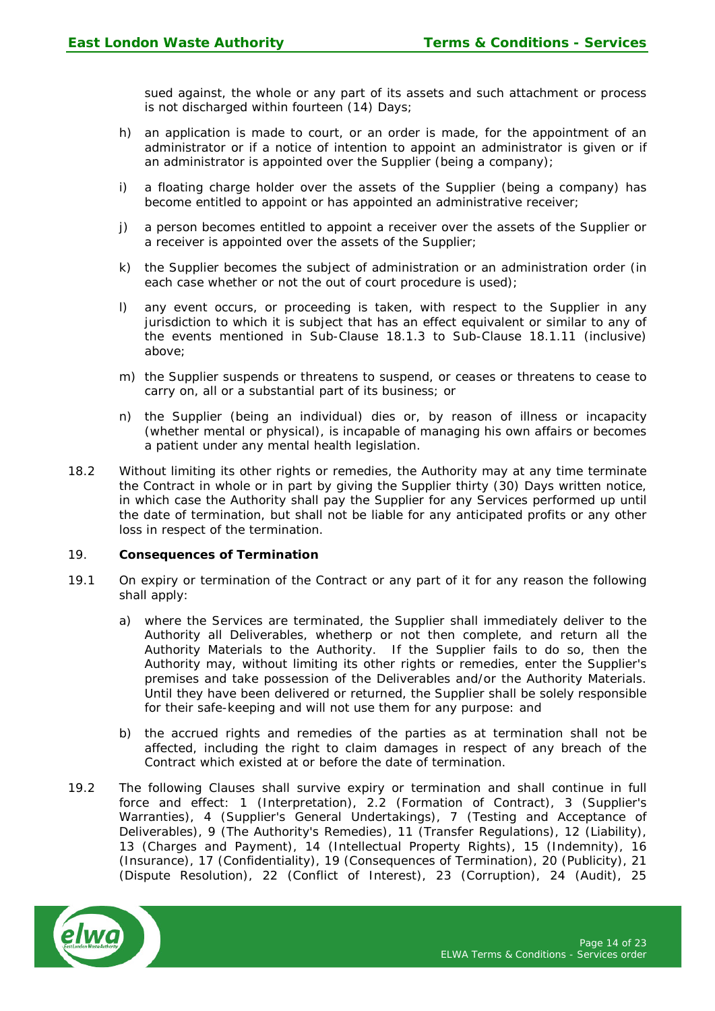sued against, the whole or any part of its assets and such attachment or process is not discharged within fourteen (14) Days;

- h) an application is made to court, or an order is made, for the appointment of an administrator or if a notice of intention to appoint an administrator is given or if an administrator is appointed over the Supplier (being a company);
- i) a floating charge holder over the assets of the Supplier (being a company) has become entitled to appoint or has appointed an administrative receiver;
- j) a person becomes entitled to appoint a receiver over the assets of the Supplier or a receiver is appointed over the assets of the Supplier;
- k) the Supplier becomes the subject of administration or an administration order (in each case whether or not the out of court procedure is used);
- l) any event occurs, or proceeding is taken, with respect to the Supplier in any jurisdiction to which it is subject that has an effect equivalent or similar to any of the events mentioned in Sub-Clause 18.1.3 to Sub-Clause 18.1.11 (inclusive) above;
- m) the Supplier suspends or threatens to suspend, or ceases or threatens to cease to carry on, all or a substantial part of its business; or
- n) the Supplier (being an individual) dies or, by reason of illness or incapacity (whether mental or physical), is incapable of managing his own affairs or becomes a patient under any mental health legislation.
- 18.2 Without limiting its other rights or remedies, the Authority may at any time terminate the Contract in whole or in part by giving the Supplier thirty (30) Days written notice, in which case the Authority shall pay the Supplier for any Services performed up until the date of termination, but shall not be liable for any anticipated profits or any other loss in respect of the termination.

#### 19. **Consequences of Termination**

- 19.1 On expiry or termination of the Contract or any part of it for any reason the following shall apply:
	- a) where the Services are terminated, the Supplier shall immediately deliver to the Authority all Deliverables, whetherp or not then complete, and return all the Authority Materials to the Authority. If the Supplier fails to do so, then the Authority may, without limiting its other rights or remedies, enter the Supplier's premises and take possession of the Deliverables and/or the Authority Materials. Until they have been delivered or returned, the Supplier shall be solely responsible for their safe-keeping and will not use them for any purpose: and
	- b) the accrued rights and remedies of the parties as at termination shall not be affected, including the right to claim damages in respect of any breach of the Contract which existed at or before the date of termination.
- 19.2 The following Clauses shall survive expiry or termination and shall continue in full force and effect: 1 (Interpretation), 2.2 (Formation of Contract), 3 (Supplier's Warranties), 4 (Supplier's General Undertakings), 7 (Testing and Acceptance of Deliverables), 9 (The Authority's Remedies), 11 (Transfer Regulations), 12 (Liability), 13 (Charges and Payment), 14 (Intellectual Property Rights), 15 (Indemnity), 16 (Insurance), 17 (Confidentiality), 19 (Consequences of Termination), 20 (Publicity), 21 (Dispute Resolution), 22 (Conflict of Interest), 23 (Corruption), 24 (Audit), 25

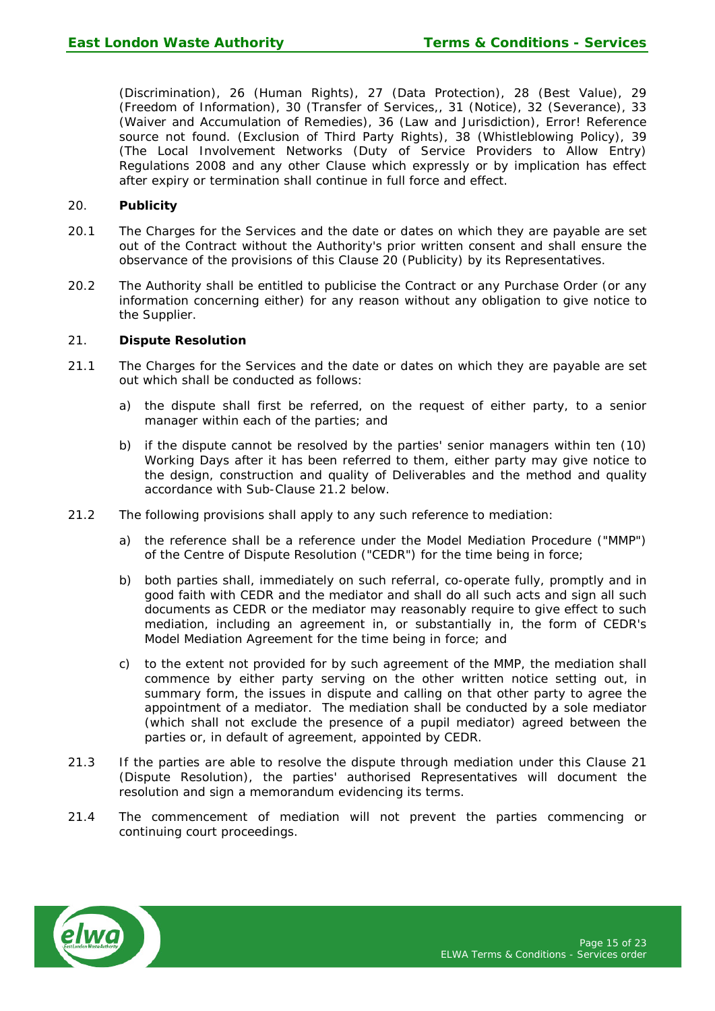(Discrimination), 26 (Human Rights), 27 (Data Protection), 28 (Best Value), 29 (Freedom of Information), 30 (Transfer of Services,, 31 (Notice), 32 (Severance), 33 (Waiver and Accumulation of Remedies), 36 (Law and Jurisdiction), Error! Reference source not found. (Exclusion of Third Party Rights), 38 (Whistleblowing Policy), 39 (The Local Involvement Networks (Duty of Service Providers to Allow Entry) Regulations 2008 and any other Clause which expressly or by implication has effect after expiry or termination shall continue in full force and effect.

## 20. **Publicity**

- 20.1 The Charges for the Services and the date or dates on which they are payable are set out of the Contract without the Authority's prior written consent and shall ensure the observance of the provisions of this Clause 20 (Publicity) by its Representatives.
- 20.2 The Authority shall be entitled to publicise the Contract or any Purchase Order (or any information concerning either) for any reason without any obligation to give notice to the Supplier.

## 21. **Dispute Resolution**

- 21.1 The Charges for the Services and the date or dates on which they are payable are set out which shall be conducted as follows:
	- a) the dispute shall first be referred, on the request of either party, to a senior manager within each of the parties; and
	- b) if the dispute cannot be resolved by the parties' senior managers within ten (10) Working Days after it has been referred to them, either party may give notice to the design, construction and quality of Deliverables and the method and quality accordance with Sub-Clause 21.2 below.
- 21.2 The following provisions shall apply to any such reference to mediation:
	- a) the reference shall be a reference under the Model Mediation Procedure ("MMP") of the Centre of Dispute Resolution ("CEDR") for the time being in force;
	- b) both parties shall, immediately on such referral, co-operate fully, promptly and in good faith with CEDR and the mediator and shall do all such acts and sign all such documents as CEDR or the mediator may reasonably require to give effect to such mediation, including an agreement in, or substantially in, the form of CEDR's Model Mediation Agreement for the time being in force; and
	- c) to the extent not provided for by such agreement of the MMP, the mediation shall commence by either party serving on the other written notice setting out, in summary form, the issues in dispute and calling on that other party to agree the appointment of a mediator. The mediation shall be conducted by a sole mediator (which shall not exclude the presence of a pupil mediator) agreed between the parties or, in default of agreement, appointed by CEDR.
- 21.3 If the parties are able to resolve the dispute through mediation under this Clause 21 (Dispute Resolution), the parties' authorised Representatives will document the resolution and sign a memorandum evidencing its terms.
- 21.4 The commencement of mediation will not prevent the parties commencing or continuing court proceedings.

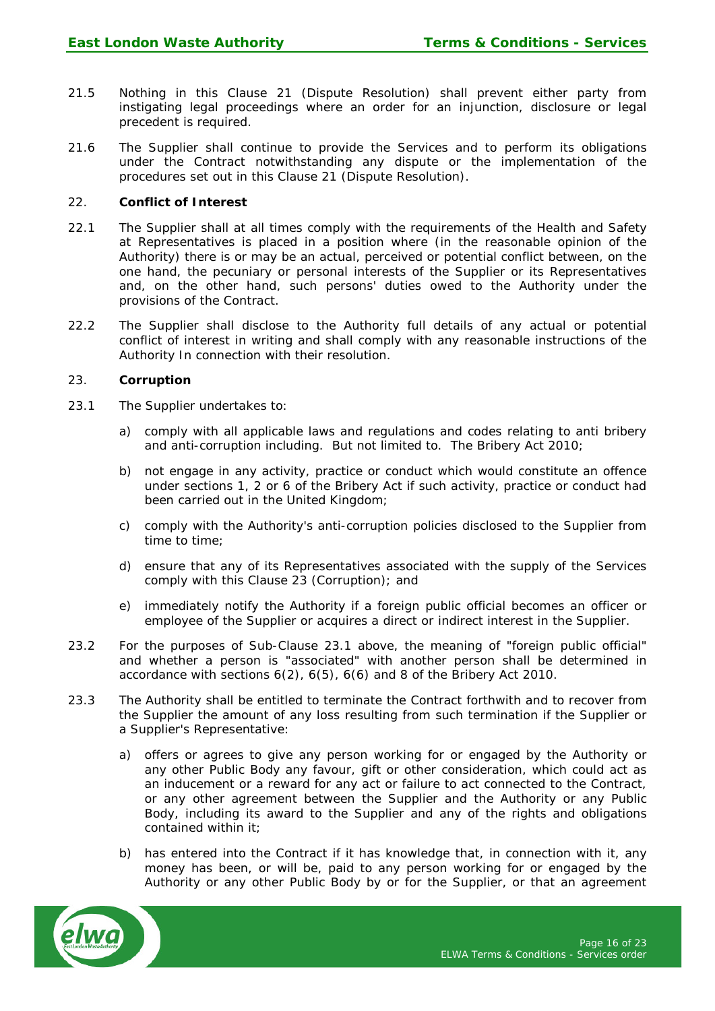- 21.5 Nothing in this Clause 21 (Dispute Resolution) shall prevent either party from instigating legal proceedings where an order for an injunction, disclosure or legal precedent is required.
- 21.6 The Supplier shall continue to provide the Services and to perform its obligations under the Contract notwithstanding any dispute or the implementation of the procedures set out in this Clause 21 (Dispute Resolution).

## 22. **Conflict of Interest**

- 22.1 The Supplier shall at all times comply with the requirements of the Health and Safety at Representatives is placed in a position where (in the reasonable opinion of the Authority) there is or may be an actual, perceived or potential conflict between, on the one hand, the pecuniary or personal interests of the Supplier or its Representatives and, on the other hand, such persons' duties owed to the Authority under the provisions of the Contract.
- 22.2 The Supplier shall disclose to the Authority full details of any actual or potential conflict of interest in writing and shall comply with any reasonable instructions of the Authority In connection with their resolution.

#### 23. **Corruption**

- 23.1 The Supplier undertakes to:
	- a) comply with all applicable laws and regulations and codes relating to anti bribery and anti-corruption including. But not limited to. The Bribery Act 2010;
	- b) not engage in any activity, practice or conduct which would constitute an offence under sections 1, 2 or 6 of the Bribery Act if such activity, practice or conduct had been carried out in the United Kingdom;
	- c) comply with the Authority's anti-corruption policies disclosed to the Supplier from time to time;
	- d) ensure that any of its Representatives associated with the supply of the Services comply with this Clause 23 (Corruption); and
	- e) immediately notify the Authority if a foreign public official becomes an officer or employee of the Supplier or acquires a direct or indirect interest in the Supplier.
- 23.2 For the purposes of Sub-Clause 23.1 above, the meaning of "foreign public official" and whether a person is "associated" with another person shall be determined in accordance with sections 6(2), 6(5), 6(6) and 8 of the Bribery Act 2010.
- 23.3 The Authority shall be entitled to terminate the Contract forthwith and to recover from the Supplier the amount of any loss resulting from such termination if the Supplier or a Supplier's Representative:
	- a) offers or agrees to give any person working for or engaged by the Authority or any other Public Body any favour, gift or other consideration, which could act as an inducement or a reward for any act or failure to act connected to the Contract, or any other agreement between the Supplier and the Authority or any Public Body, including its award to the Supplier and any of the rights and obligations contained within it;
	- b) has entered into the Contract if it has knowledge that, in connection with it, any money has been, or will be, paid to any person working for or engaged by the Authority or any other Public Body by or for the Supplier, or that an agreement

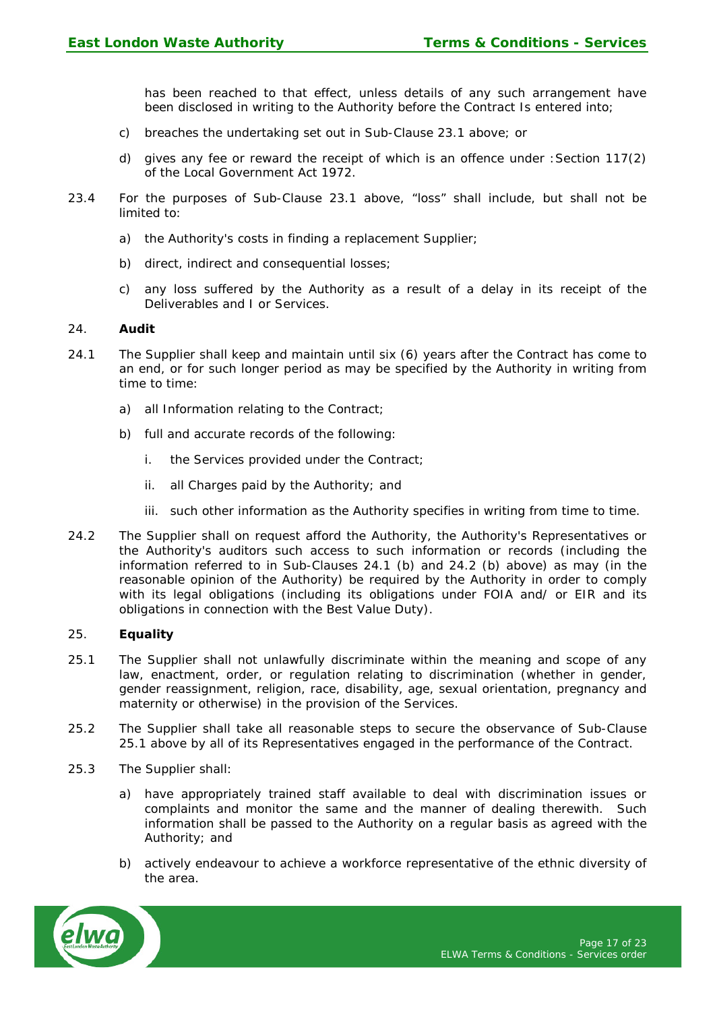has been reached to that effect, unless details of any such arrangement have been disclosed in writing to the Authority before the Contract Is entered into;

- c) breaches the undertaking set out in Sub-Clause 23.1 above; or
- d) gives any fee or reward the receipt of which is an offence under :Section 117(2) of the Local Government Act 1972.
- 23.4 For the purposes of Sub-Clause 23.1 above, "loss" shall include, but shall not be limited to:
	- a) the Authority's costs in finding a replacement Supplier;
	- b) direct, indirect and consequential losses;
	- c) any loss suffered by the Authority as a result of a delay in its receipt of the Deliverables and I or Services.

#### 24. **Audit**

- 24.1 The Supplier shall keep and maintain until six (6) years after the Contract has come to an end, or for such longer period as may be specified by the Authority in writing from time to time:
	- a) all Information relating to the Contract;
	- b) full and accurate records of the following:
		- i. the Services provided under the Contract;
		- ii. all Charges paid by the Authority; and
		- iii. such other information as the Authority specifies in writing from time to time.
- 24.2 The Supplier shall on request afford the Authority, the Authority's Representatives or the Authority's auditors such access to such information or records (including the information referred to in Sub-Clauses 24.1 (b) and 24.2 (b) above) as may (in the reasonable opinion of the Authority) be required by the Authority in order to comply with its legal obligations (including its obligations under FOIA and/ or EIR and its obligations in connection with the Best Value Duty).

#### 25. **Equality**

- 25.1 The Supplier shall not unlawfully discriminate within the meaning and scope of any law, enactment, order, or regulation relating to discrimination (whether in gender, gender reassignment, religion, race, disability, age, sexual orientation, pregnancy and maternity or otherwise) in the provision of the Services.
- 25.2 The Supplier shall take all reasonable steps to secure the observance of Sub-Clause 25.1 above by all of its Representatives engaged in the performance of the Contract.
- 25.3 The Supplier shall:
	- a) have appropriately trained staff available to deal with discrimination issues or complaints and monitor the same and the manner of dealing therewith. Such information shall be passed to the Authority on a regular basis as agreed with the Authority; and
	- b) actively endeavour to achieve a workforce representative of the ethnic diversity of the area.

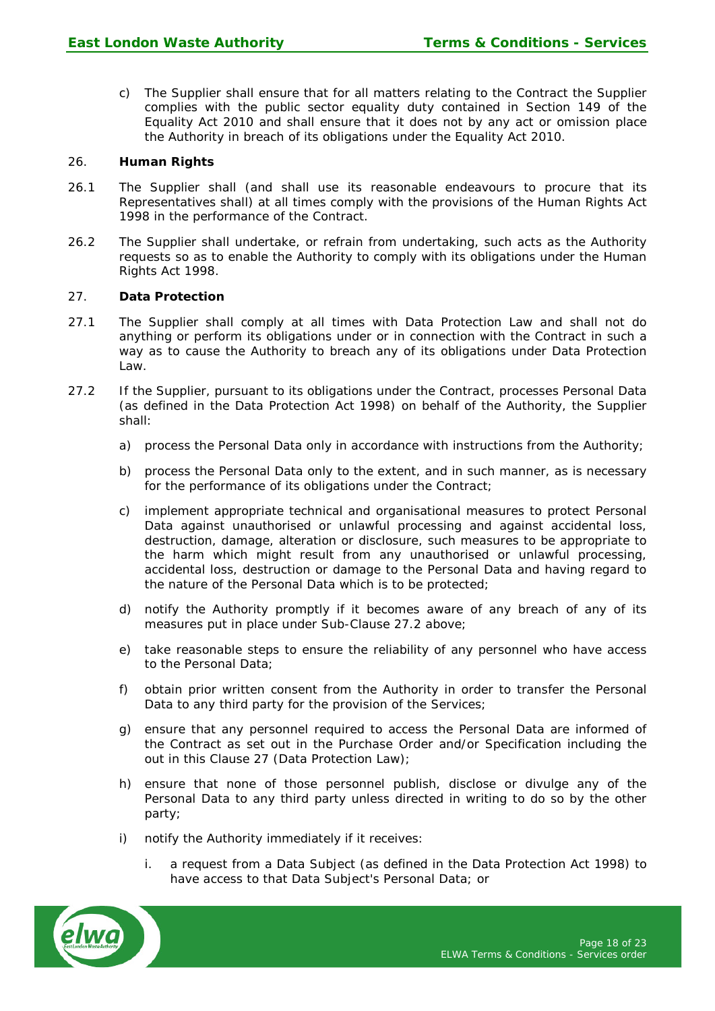c) The Supplier shall ensure that for all matters relating to the Contract the Supplier complies with the public sector equality duty contained in Section 149 of the Equality Act 2010 and shall ensure that it does not by any act or omission place the Authority in breach of its obligations under the Equality Act 2010.

# 26. **Human Rights**

- 26.1 The Supplier shall (and shall use its reasonable endeavours to procure that its Representatives shall) at all times comply with the provisions of the Human Rights Act 1998 in the performance of the Contract.
- 26.2 The Supplier shall undertake, or refrain from undertaking, such acts as the Authority requests so as to enable the Authority to comply with its obligations under the Human Rights Act 1998.

# 27. **Data Protection**

- 27.1 The Supplier shall comply at all times with Data Protection Law and shall not do anything or perform its obligations under or in connection with the Contract in such a way as to cause the Authority to breach any of its obligations under Data Protection Law.
- 27.2 If the Supplier, pursuant to its obligations under the Contract, processes Personal Data (as defined in the Data Protection Act 1998) on behalf of the Authority, the Supplier shall:
	- a) process the Personal Data only in accordance with instructions from the Authority;
	- b) process the Personal Data only to the extent, and in such manner, as is necessary for the performance of its obligations under the Contract;
	- c) implement appropriate technical and organisational measures to protect Personal Data against unauthorised or unlawful processing and against accidental loss, destruction, damage, alteration or disclosure, such measures to be appropriate to the harm which might result from any unauthorised or unlawful processing, accidental loss, destruction or damage to the Personal Data and having regard to the nature of the Personal Data which is to be protected;
	- d) notify the Authority promptly if it becomes aware of any breach of any of its measures put in place under Sub-Clause 27.2 above;
	- e) take reasonable steps to ensure the reliability of any personnel who have access to the Personal Data;
	- f) obtain prior written consent from the Authority in order to transfer the Personal Data to any third party for the provision of the Services;
	- g) ensure that any personnel required to access the Personal Data are informed of the Contract as set out in the Purchase Order and/or Specification including the out in this Clause 27 (Data Protection Law);
	- h) ensure that none of those personnel publish, disclose or divulge any of the Personal Data to any third party unless directed in writing to do so by the other party;
	- i) notify the Authority immediately if it receives:
		- i. a request from a Data Subject (as defined in the Data Protection Act 1998) to have access to that Data Subject's Personal Data; or

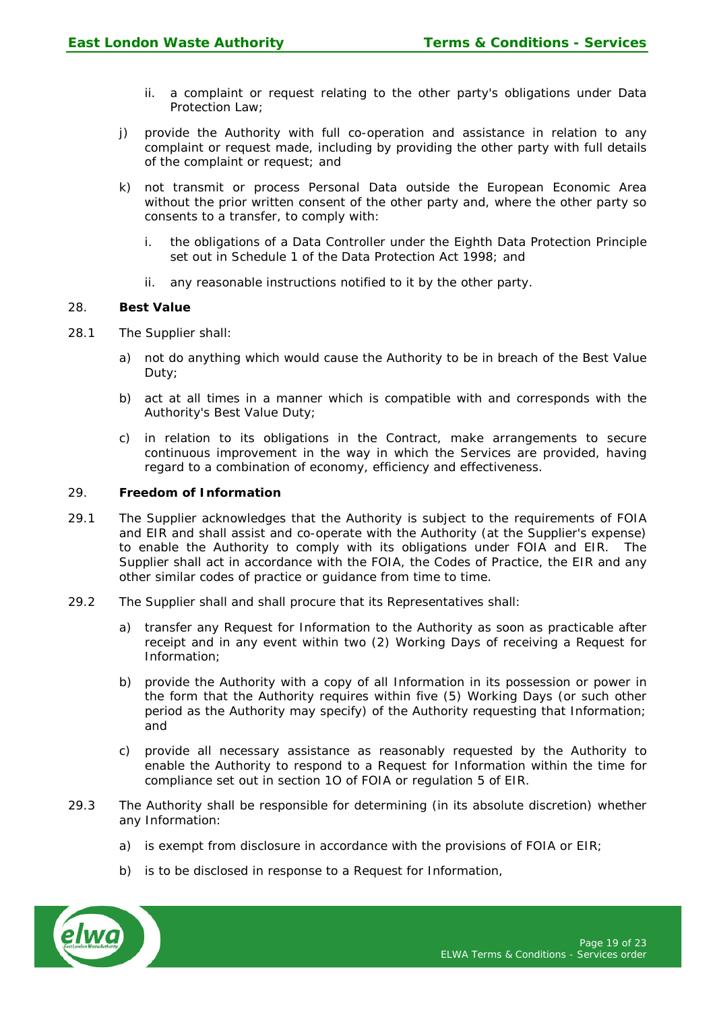- ii. a complaint or request relating to the other party's obligations under Data Protection Law;
- j) provide the Authority with full co-operation and assistance in relation to any complaint or request made, including by providing the other party with full details of the complaint or request; and
- k) not transmit or process Personal Data outside the European Economic Area without the prior written consent of the other party and, where the other party so consents to a transfer, to comply with:
	- i. the obligations of a Data Controller under the Eighth Data Protection Principle set out in Schedule 1 of the Data Protection Act 1998; and
	- ii. any reasonable instructions notified to it by the other party.

## 28. **Best Value**

- 28.1 The Supplier shall:
	- a) not do anything which would cause the Authority to be in breach of the Best Value Duty;
	- b) act at all times in a manner which is compatible with and corresponds with the Authority's Best Value Duty;
	- c) in relation to its obligations in the Contract, make arrangements to secure continuous improvement in the way in which the Services are provided, having regard to a combination of economy, efficiency and effectiveness.

## 29. **Freedom of Information**

- 29.1 The Supplier acknowledges that the Authority is subject to the requirements of FOIA and EIR and shall assist and co-operate with the Authority (at the Supplier's expense) to enable the Authority to comply with its obligations under FOIA and EIR. The Supplier shall act in accordance with the FOIA, the Codes of Practice, the EIR and any other similar codes of practice or guidance from time to time.
- 29.2 The Supplier shall and shall procure that its Representatives shall:
	- a) transfer any Request for Information to the Authority as soon as practicable after receipt and in any event within two (2) Working Days of receiving a Request for Information;
	- b) provide the Authority with a copy of all Information in its possession or power in the form that the Authority requires within five (5) Working Days (or such other period as the Authority may specify) of the Authority requesting that Information; and
	- c) provide all necessary assistance as reasonably requested by the Authority to enable the Authority to respond to a Request for Information within the time for compliance set out in section 1O of FOIA or regulation 5 of EIR.
- 29.3 The Authority shall be responsible for determining (in its absolute discretion) whether any Information:
	- a) is exempt from disclosure in accordance with the provisions of FOIA or EIR;
	- b) is to be disclosed in response to a Request for Information,

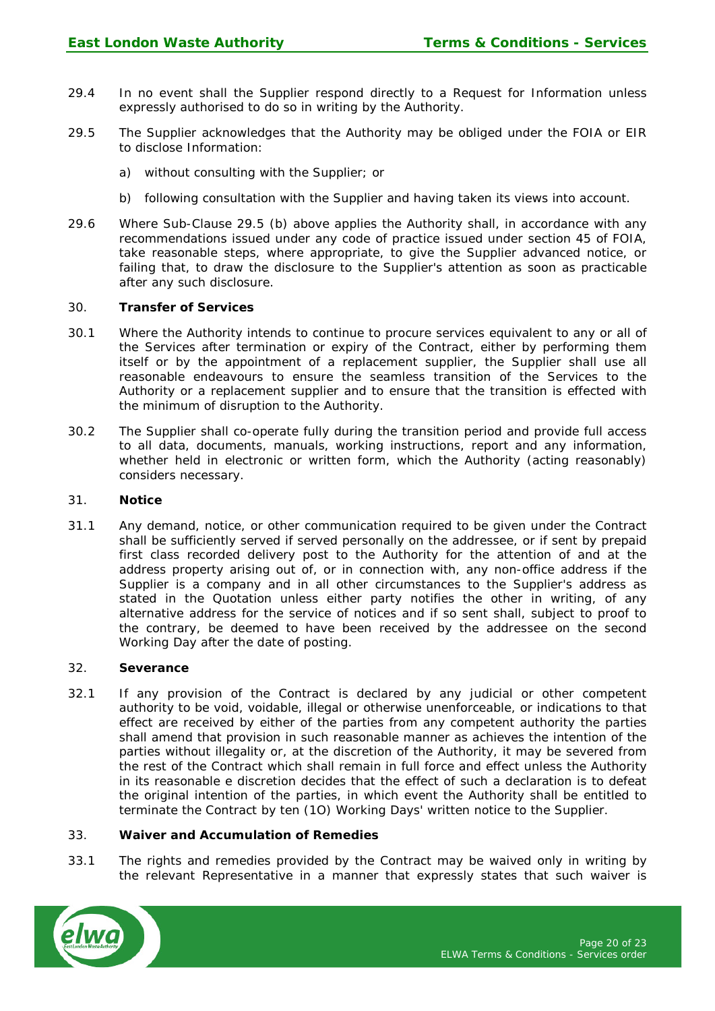- 29.4 In no event shall the Supplier respond directly to a Request for Information unless expressly authorised to do so in writing by the Authority.
- 29.5 The Supplier acknowledges that the Authority may be obliged under the FOIA or EIR to disclose Information:
	- a) without consulting with the Supplier; or
	- b) following consultation with the Supplier and having taken its views into account.
- 29.6 Where Sub-Clause 29.5 (b) above applies the Authority shall, in accordance with any recommendations issued under any code of practice issued under section 45 of FOIA, take reasonable steps, where appropriate, to give the Supplier advanced notice, or failing that, to draw the disclosure to the Supplier's attention as soon as practicable after any such disclosure.

# 30. **Transfer of Services**

- 30.1 Where the Authority intends to continue to procure services equivalent to any or all of the Services after termination or expiry of the Contract, either by performing them itself or by the appointment of a replacement supplier, the Supplier shall use all reasonable endeavours to ensure the seamless transition of the Services to the Authority or a replacement supplier and to ensure that the transition is effected with the minimum of disruption to the Authority.
- 30.2 The Supplier shall co-operate fully during the transition period and provide full access to all data, documents, manuals, working instructions, report and any information, whether held in electronic or written form, which the Authority (acting reasonably) considers necessary.

#### 31. **Notice**

31.1 Any demand, notice, or other communication required to be given under the Contract shall be sufficiently served if served personally on the addressee, or if sent by prepaid first class recorded delivery post to the Authority for the attention of and at the address property arising out of, or in connection with, any non-office address if the Supplier is a company and in all other circumstances to the Supplier's address as stated in the Quotation unless either party notifies the other in writing, of any alternative address for the service of notices and if so sent shall, subject to proof to the contrary, be deemed to have been received by the addressee on the second Working Day after the date of posting.

#### 32. **Severance**

32.1 If any provision of the Contract is declared by any judicial or other competent authority to be void, voidable, illegal or otherwise unenforceable, or indications to that effect are received by either of the parties from any competent authority the parties shall amend that provision in such reasonable manner as achieves the intention of the parties without illegality or, at the discretion of the Authority, it may be severed from the rest of the Contract which shall remain in full force and effect unless the Authority in its reasonable e discretion decides that the effect of such a declaration is to defeat the original intention of the parties, in which event the Authority shall be entitled to terminate the Contract by ten (1O) Working Days' written notice to the Supplier.

# 33. **Waiver and Accumulation of Remedies**

33.1 The rights and remedies provided by the Contract may be waived only in writing by the relevant Representative in a manner that expressly states that such waiver is

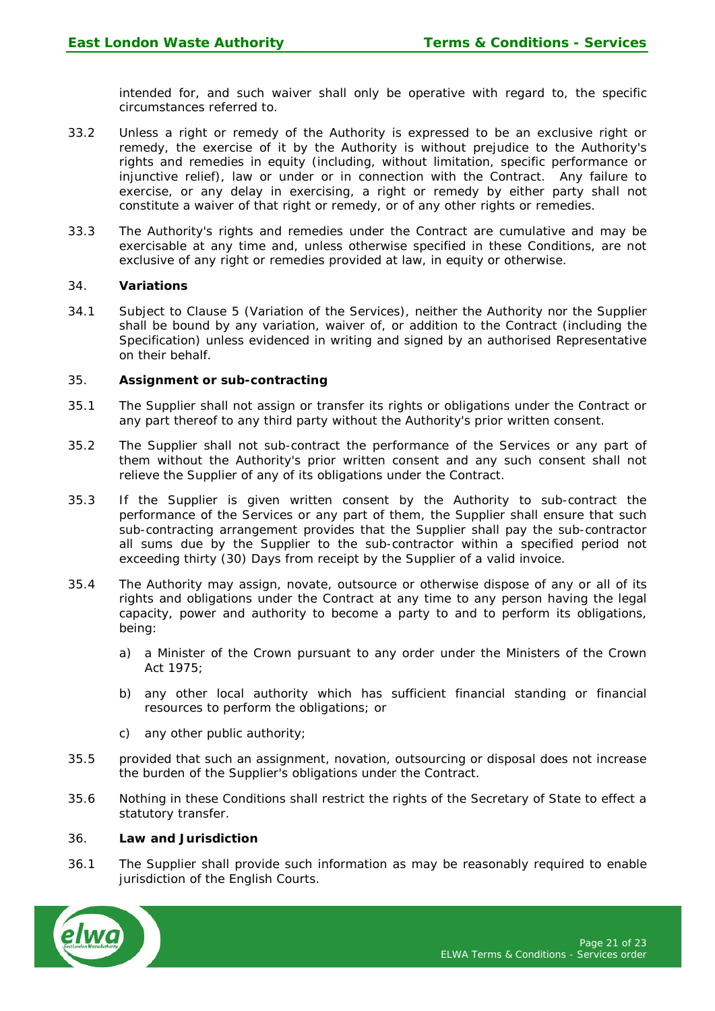intended for, and such waiver shall only be operative with regard to, the specific circumstances referred to.

- 33.2 Unless a right or remedy of the Authority is expressed to be an exclusive right or remedy, the exercise of it by the Authority is without prejudice to the Authority's rights and remedies in equity (including, without limitation, specific performance or injunctive relief), law or under or in connection with the Contract. Any failure to exercise, or any delay in exercising, a right or remedy by either party shall not constitute a waiver of that right or remedy, or of any other rights or remedies.
- 33.3 The Authority's rights and remedies under the Contract are cumulative and may be exercisable at any time and, unless otherwise specified in these Conditions, are not exclusive of any right or remedies provided at law, in equity or otherwise.

## 34. **Variations**

34.1 Subject to Clause 5 (Variation of the Services), neither the Authority nor the Supplier shall be bound by any variation, waiver of, or addition to the Contract (including the Specification) unless evidenced in writing and signed by an authorised Representative on their behalf.

#### 35. **Assignment or sub-contracting**

- 35.1 The Supplier shall not assign or transfer its rights or obligations under the Contract or any part thereof to any third party without the Authority's prior written consent.
- 35.2 The Supplier shall not sub-contract the performance of the Services or any part of them without the Authority's prior written consent and any such consent shall not relieve the Supplier of any of its obligations under the Contract.
- 35.3 If the Supplier is given written consent by the Authority to sub-contract the performance of the Services or any part of them, the Supplier shall ensure that such sub-contracting arrangement provides that the Supplier shall pay the sub-contractor all sums due by the Supplier to the sub-contractor within a specified period not exceeding thirty (30) Days from receipt by the Supplier of a valid invoice.
- 35.4 The Authority may assign, novate, outsource or otherwise dispose of any or all of its rights and obligations under the Contract at any time to any person having the legal capacity, power and authority to become a party to and to perform its obligations, being:
	- a) a Minister of the Crown pursuant to any order under the Ministers of the Crown Act 1975;
	- b) any other local authority which has sufficient financial standing or financial resources to perform the obligations; or
	- c) any other public authority;
- 35.5 provided that such an assignment, novation, outsourcing or disposal does not increase the burden of the Supplier's obligations under the Contract.
- 35.6 Nothing in these Conditions shall restrict the rights of the Secretary of State to effect a statutory transfer.

#### 36. **Law and Jurisdiction**

36.1 The Supplier shall provide such information as may be reasonably required to enable jurisdiction of the English Courts.

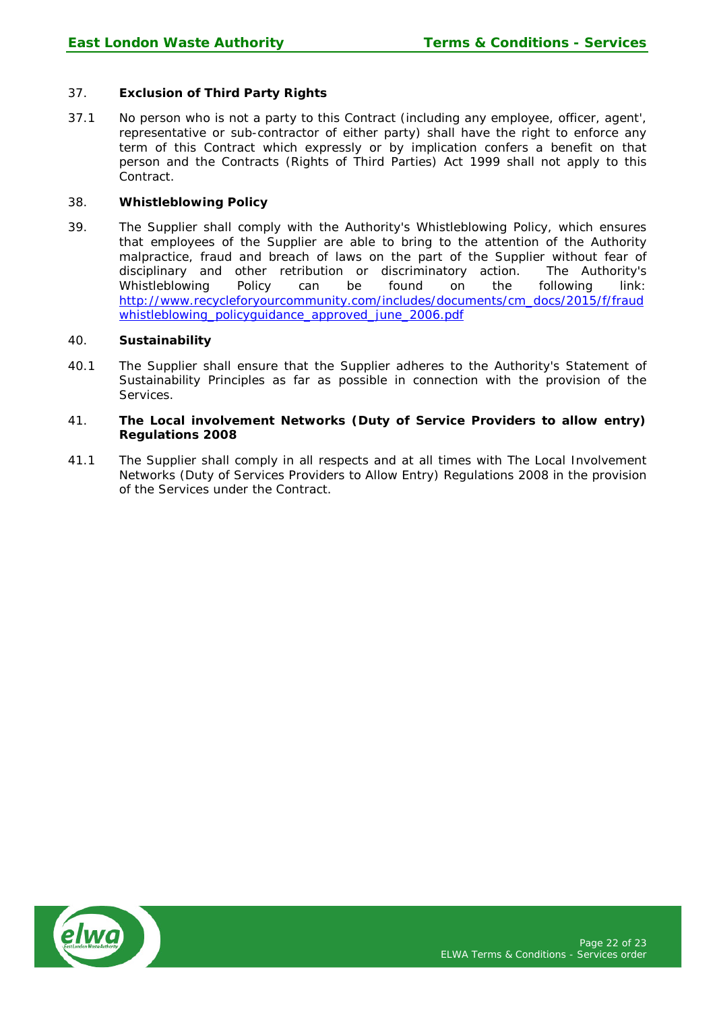# 37. **Exclusion of Third Party Rights**

37.1 No person who is not a party to this Contract (including any employee, officer, agent', representative or sub-contractor of either party) shall have the right to enforce any term of this Contract which expressly or by implication confers a benefit on that person and the Contracts (Rights of Third Parties) Act 1999 shall not apply to this Contract.

## 38. **Whistleblowing Policy**

39. The Supplier shall comply with the Authority's Whistleblowing Policy, which ensures that employees of the Supplier are able to bring to the attention of the Authority malpractice, fraud and breach of laws on the part of the Supplier without fear of disciplinary and other retribution or discriminatory action. The Authority's Whistleblowing Policy can be found on the following link: [http://www.recycleforyourcommunity.com/includes/documents/cm\\_docs/2015/f/fraud](http://www.recycleforyourcommunity.com/includes/documents/cm_docs/2015/f/fraudwhistleblowing_policyguidance_approved_june_2006.pdf) [whistleblowing\\_policyguidance\\_approved\\_june\\_2006.pdf](http://www.recycleforyourcommunity.com/includes/documents/cm_docs/2015/f/fraudwhistleblowing_policyguidance_approved_june_2006.pdf)

## 40. **Sustainability**

40.1 The Supplier shall ensure that the Supplier adheres to the Authority's Statement of Sustainability Principles as far as possible in connection with the provision of the Services.

## 41. **The Local involvement Networks (Duty of Service Providers to allow entry) Regulations 2008**

41.1 The Supplier shall comply in all respects and at all times with The Local Involvement Networks (Duty of Services Providers to Allow Entry) Regulations 2008 in the provision of the Services under the Contract.